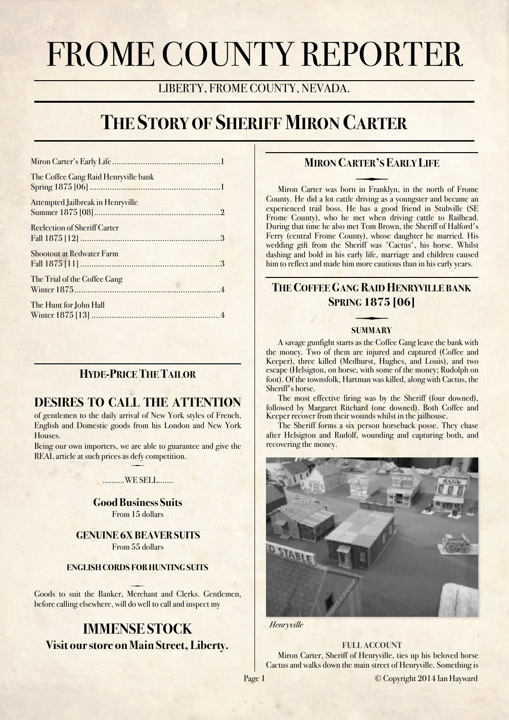# FROME COUNTY REPORTER

LIBERTY, FROME COUNTY, NEVADA.

## **THE STORY OF SHERIFF MIRON CARTER**

| The Coffee Gang Raid Henryville bank     |
|------------------------------------------|
| <b>Attempted Jailbreak in Henryville</b> |
| <b>Reclection of Sheriff Carter</b>      |
| <b>Shootout at Redwater Farm</b>         |
| The Trial of the Coffee Gang             |
| The Hunt for John Hall                   |

## **HYDE-PRICE THE TAILOR**

## **DESIRES TO CALL THE ATTENTION**

of gentlemen to the daily arrival of New York styles of French, English and Domestic goods from his London and New York Houses.

Being our own importers, we are able to guarantee and give the REAL article at such prices as defy competition.

### $\overline{\phantom{0}}$ ……….WE SELL…….

**Good Business Suits** From 15 dollars

**GENUINE 6X BEAVER SUITS** From 55 dollars

#### **ENGLISH CORDS FOR HUNTING SUITS**

 Goods to suit the Banker, Merchant and Clerks. Gentlemen, before calling elsewhere, will do well to call and inspect my

## **IMMENSE STOCK Visit our store on Main Street, Liberty.**

## <span id="page-0-0"></span>**MIRON CARTER'S EARLY LIFE**

County. He did a lot cattle driving as a youngster and became an Miron Carter was born in Franklyn, in the north of Frome experienced trail boss. He has a good friend in Stubville (SE Frome County), who he met when driving cattle to Railhead. During that time he also met Tom Brown, the Sheriff of Halford's Ferry (central Frome County), whose daughter he married. His wedding gift from the Sheriff was 'Cactus', his horse. Whilst dashing and bold in his early life, marriage and children caused him to reflect and made him more cautious than in his early years.

## <span id="page-0-1"></span>**THE COFFEE GANG RAID HENRYVILLE BANK SPRING 1875 [06]**

## **SUMMARY**

A savage gunfight starts as the Coffee Gang leave the bank with the money. Two of them are injured and captured (Coffee and Keeper), three killed (Medhurst, Hughes, and Louis), and two escape (Helsigton, on horse, with some of the money; Rudolph on foot). Of the townsfolk, Hartman was killed, along with Cactus, the Sheriff's horse.

The most effective firing was by the Sheriff (four downed), followed by Margaret Ritchard (one downed). Both Coffee and Keeper recover from their wounds whilst in the jailhouse.

The Sheriff forms a six person horseback posse. They chase after Helsigton and Rudolf, wounding and capturing both, and recovering the money.



*Henryville*

#### **FULL ACCOUNT**

Miron Carter, Sheriff of Henryville, ties up his beloved horse Cactus and walks down the main street of Henryville. Something is

Page 1 © Copyright 2014 Ian Hayward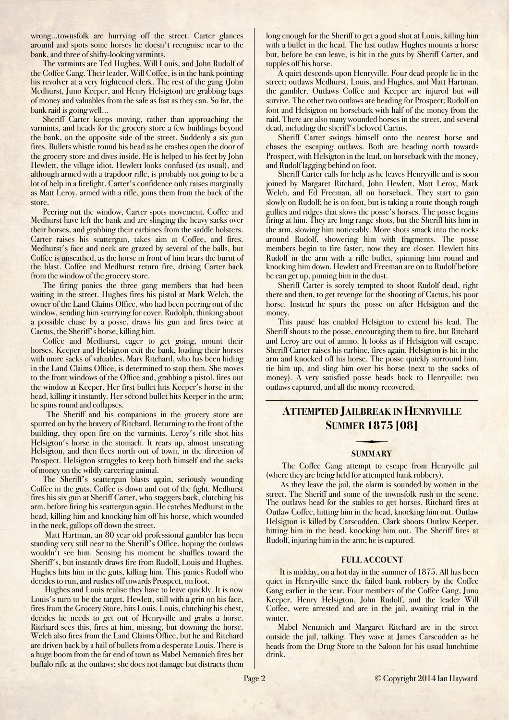wrong…townsfolk are hurrying off the street. Carter glances around and spots some horses he doesn't recognise near to the bank, and three of shifty-looking varmints.

The varmints are Ted Hughes, Will Louis, and John Rudolf of the Coffee Gang. Their leader, Will Coffee, is in the bank pointing his revolver at a very frightened clerk. The rest of the gang (John Medhurst, Juno Keeper, and Henry Helsigton) are grabbing bags of money and valuables from the safe as fast as they can. So far, the bank raid is going well…

Sheriff Carter keeps moving, rather than approaching the varmints, and heads for the grocery store a few buildings beyond the bank, on the opposite side of the street. Suddenly a six gun fires. Bullets whistle round his head as he crashes open the door of the grocery store and dives inside. He is helped to his feet by John Hewlett, the village idiot. Hewlett looks confused (as usual), and although armed with a trapdoor rifle, is probably not going to be a lot of help in a firefight. Carter's confidence only raises marginally as Matt Leroy, armed with a rifle, joins them from the back of the store.

Peering out the window, Carter spots movement. Coffee and Medhurst have left the bank and are slinging the heavy sacks over their horses, and grabbing their carbines from the saddle holsters. Carter raises his scattergun, takes aim at Coffee, and fires. Medhurst's face and neck are grazed by several of the balls, but Coffee is unscathed, as the horse in front of him bears the burnt of the blast. Coffee and Medhurst return fire, driving Carter back from the window of the grocery store.

The firing panics the three gang members that had been waiting in the street. Hughes fires his pistol at Mark Welch, the owner of the Land Claims Office, who had been peering out of the window, sending him scurrying for cover. Rudolph, thinking about a possible chase by a posse, draws his gun and fires twice at Cactus, the Sheriff's horse, killing him.

Coffee and Medhurst, eager to get going, mount their horses. Keeper and Helsigton exit the bank, loading their horses with more sacks of valuables. Mary Ritchard, who has been hiding in the Land Claims Office, is determined to stop them. She moves to the front windows of the Office and, grabbing a pistol, fires out the window at Keeper. Her first bullet hits Keeper's horse in the head, killing it instantly. Her second bullet hits Keeper in the arm; he spins round and collapses.

The Sheriff and his companions in the grocery store are spurred on by the bravery of Ritchard. Returning to the front of the building, they open fire on the varmints. Leroy's rifle shot hits Helsigton's horse in the stomach. It rears up, almost unseating Helsigton, and then flees north out of town, in the direction of Prospect. Helsigton struggles to keep both himself and the sacks of money on the wildly careering animal.

The Sheriff's scattergun blasts again, seriously wounding Coffee in the guts. Coffee is down and out of the fight. Medhurst fires his six gun at Sheriff Carter, who staggers back, clutching his arm, before firing his scattergun again. He catches Medhurst in the head, killing him and knocking him off his horse, which wounded in the neck, gallops off down the street.

Matt Hartman, an 80 year old professional gambler has been standing very still near to the Sheriff's Office, hoping the outlaws wouldn't see him. Sensing his moment he shuffles toward the Sheriff's, but instantly draws fire from Rudolf, Louis and Hughes. Hughes hits him in the guts, killing him. This panics Rudolf who decides to run, and rushes off towards Prospect, on foot.

Hughes and Louis realise they have to leave quickly. It is now Louis's turn to be the target. Hewlett, still with a grin on his face, fires from the Grocery Store, hits Louis. Louis, clutching his chest, decides he needs to get out of Henryville and grabs a horse. Ritchard sees this, fires at him, missing, but downing the horse. Welch also fires from the Land Claims Office, but he and Ritchard are driven back by a hail of bullets from a desperate Louis. There is a huge boom from the far end of town as Mabel Nemanich fires her buffalo rifle at the outlaws; she does not damage but distracts them long enough for the Sheriff to get a good shot at Louis, killing him with a bullet in the head. The last outlaw Hughes mounts a horse but, before he can leave, is hit in the guts by Sheriff Carter, and topples off his horse.

A quiet descends upon Henryville. Four dead people lie in the street; outlaws Medhurst, Louis, and Hughes, and Matt Hartman, the gambler. Outlaws Coffee and Keeper are injured but will survive. The other two outlaws are heading for Prospect; Rudolf on foot and Helsigton on horseback with half of the money from the raid. There are also many wounded horses in the street, and several dead, including the sheriff's beloved Cactus.

Sheriff Carter swings himself onto the nearest horse and chases the escaping outlaws. Both are heading north towards Prospect, with Helsigton in the lead, on horseback with the money, and Rudolf lagging behind on foot.

Sheriff Carter calls for help as he leaves Henryville and is soon joined by Margaret Ritchard, John Hewlett, Matt Leroy, Mark Welch, and Ed Freeman, all on horseback. They start to gain slowly on Rudolf; he is on foot, but is taking a route though rough gullies and ridges that slows the posse's horses. The posse begins firing at him. They are long range shots, but the Sheriff hits him in the arm, slowing him noticeably. More shots smack into the rocks around Rudolf, showering him with fragments. The posse members begin to fire faster, now they are closer. Hewlett hits Rudolf in the arm with a rifle bullet, spinning him round and knocking him down. Hewlett and Freeman are on to Rudolf before he can get up, pinning him in the dust.

Sheriff Carter is sorely tempted to shoot Rudolf dead, right there and then, to get revenge for the shooting of Cactus, his poor horse. Instead he spurs the posse on after Helsigton and the money.

This pause has enabled Helsigton to extend his lead. The Sheriff shouts to the posse, encouraging them to fire, but Ritchard and Leroy are out of ammo. It looks as if Helsigton will escape. Sheriff Carter raises his carbine, fires again. Helsigton is hit in the arm and knocked off his horse. The posse quickly surround him, tie him up, and sling him over his horse (next to the sacks of money). A very satisfied posse heads back to Henryville: two outlaws captured, and all the money recovered.

## <span id="page-1-0"></span>**ATTEMPTED JAILBREAK IN HENRYVILLE SUMMER 1875 [08]**

## **SUMMARY**

The Coffee Gang attempt to escape from Henryville jail (where they are being held for attempted bank robbery).

As they leave the jail, the alarm is sounded by women in the street. The Sheriff and some of the townsfolk rush to the scene. The outlaws head for the stables to get horses. Ritchard fires at Outlaw Coffee, hitting him in the head, knocking him out. Outlaw Helsigton is killed by Carscodden. Clark shoots Outlaw Keeper, hitting him in the head, knocking him out. The Sheriff fires at Rudolf, injuring him in the arm; he is captured.

#### **FULL ACCOUNT**

It is midday, on a hot day in the summer of 1875. All has been quiet in Henryville since the failed bank robbery by the Coffee Gang earlier in the year. Four members of the Coffee Gang, Juno Keeper, Henry Helsigton, John Rudolf, and the leader Will Coffee, were arrested and are in the jail, awaiting trial in the winter.

Mabel Nemanich and Margaret Ritchard are in the street outside the jail, talking. They wave at James Carscodden as he heads from the Drug Store to the Saloon for his usual lunchtime drink.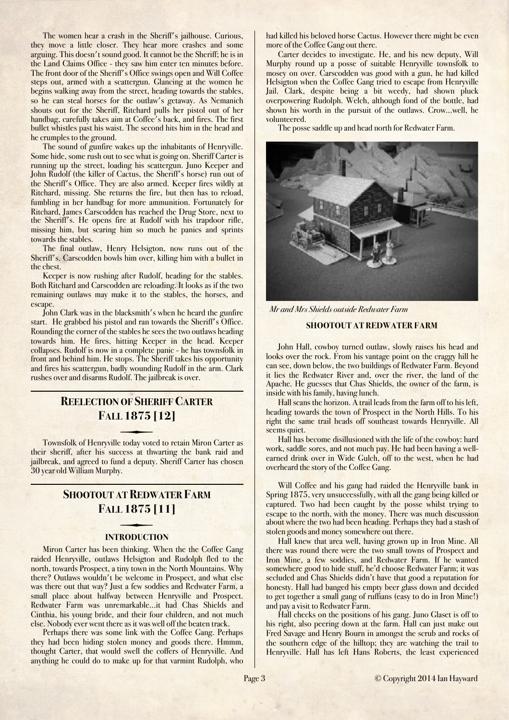The women hear a crash in the Sheriff's jailhouse. Curious, they move a little closer. They hear more crashes and some arguing. This doesn't sound good. It cannot be the Sheriff; he is in the Land Claims Office - they saw him enter ten minutes before. The front door of the Sheriff's Office swings open and Will Coffee steps out, armed with a scattergun. Glancing at the women he begins walking away from the street, heading towards the stables, so he can steal horses for the outlaw's getaway. As Nemanich shouts out for the Sheriff, Ritchard pulls her pistol out of her handbag, carefully takes aim at Coffee's back, and fires. The first bullet whistles past his waist. The second hits him in the head and he crumples to the ground.

The sound of gunfire wakes up the inhabitants of Henryville. Some hide, some rush out to see what is going on. Sheriff Carter is running up the street, loading his scattergun. Juno Keeper and John Rudolf (the killer of Cactus, the Sheriff's horse) run out of the Sheriff's Office. They are also armed. Keeper fires wildly at Ritchard, missing. She returns the fire, but then has to reload, fumbling in her handbag for more ammunition. Fortunately for Ritchard, James Carscodden has reached the Drug Store, next to the Sheriff's. He opens fire at Rudolf with his trapdoor rifle, missing him, but scaring him so much he panics and sprints towards the stables.

The final outlaw, Henry Helsigton, now runs out of the Sheriff's. Carscodden bowls him over, killing him with a bullet in the chest.

Keeper is now rushing after Rudolf, heading for the stables. Both Ritchard and Carscodden are reloading. It looks as if the two remaining outlaws may make it to the stables, the horses, and escape.

John Clark was in the blacksmith's when he heard the gunfire start. He grabbed his pistol and ran towards the Sheriff's Office. Rounding the corner of the stables he sees the two outlaws heading towards him. He fires, hitting Keeper in the head. Keeper collapses. Rudolf is now in a complete panic - he has townsfolk in front and behind him. He stops. The Sheriff takes his opportunity and fires his scattergun, badly wounding Rudolf in the arm. Clark rushes over and disarms Rudolf. The jailbreak is over.

## <span id="page-2-0"></span>**REELECTION OF SHERIFF CARTER FALL 1875 [12]**

their sheriff, after his success at thwarting the bank raid and Townsfolk of Henryville today voted to retain Miron Carter as jailbreak, and agreed to fund a deputy. Sheriff Carter has chosen 30 year old William Murphy.

### <span id="page-2-1"></span>**SHOOTOUT AT REDWATER FARM FALL 1875 [11]**

#### **INTRODUCTION**

Miron Carter has been thinking. When the the Coffee Gang raided Henryville, outlaws Helsigton and Rudolph fled to the north, towards Prospect, a tiny town in the North Mountains. Why there? Outlaws wouldn't be welcome in Prospect, and what else was there out that way? Just a few soddies and Redwater Farm, a small place about halfway between Henryville and Prospect. Redwater Farm was unremarkable...it had Chas Shields and Cinthia, his young bride, and their four children, and not much else. Nobody ever went there as it was well off the beaten track.

Perhaps there was some link with the Coffee Gang. Perhaps they had been hiding stolen money and goods there. Hmmm, thought Carter, that would swell the coffers of Henryville. And anything he could do to make up for that varmint Rudolph, who had killed his beloved horse Cactus. However there might be even more of the Coffee Gang out there.

Carter decides to investigate. He, and his new deputy, Will Murphy round up a posse of suitable Henryville townsfolk to mosey on over. Carscodden was good with a gun, he had killed Helsigton when the Coffee Gang tried to escape from Henryville Jail. Clark, despite being a bit weedy, had shown pluck overpowering Rudolph. Welch, although fond of the bottle, had shown his worth in the pursuit of the outlaws. Crow...well, he volunteered.

The posse saddle up and head north for Redwater Farm.



*Mr and Mrs Shields outside Redwater Farm*

#### **SHOOTOUT AT REDWATER FARM**

John Hall, cowboy turned outlaw, slowly raises his head and looks over the rock. From his vantage point on the craggy hill he can see, down below, the two buildings of Redwater Farm. Beyond it lies the Redwater River and, over the river, the land of the Apache. He guesses that Chas Shields, the owner of the farm, is inside with his family, having lunch.

Hall scans the horizon. A trail leads from the farm off to his left, heading towards the town of Prospect in the North Hills. To his right the same trail heads off southeast towards Henryville. All seems quiet.

Hall has become disillusioned with the life of the cowboy: hard work, saddle sores, and not much pay. He had been having a wellearned drink over in Wide Gulch, off to the west, when he had overheard the story of the Coffee Gang.

Will Coffee and his gang had raided the Henryville bank in Spring 1875, very unsuccessfully, with all the gang being killed or captured. Two had been caught by the posse whilst trying to escape to the north, with the money. There was much discussion about where the two had been heading. Perhaps they had a stash of stolen goods and money somewhere out there.

Hall knew that area well, having grown up in Iron Mine. All there was round there were the two small towns of Prospect and Iron Mine, a few soddies, and Redwater Farm. If he wanted somewhere good to hide stuff, he'd choose Redwater Farm; it was secluded and Chas Shields didn't have that good a reputation for honesty. Hall had banged his empty beer glass down and decided to get together a small gang of ruffians (easy to do in Iron Mine!) and pay a visit to Redwater Farm.

Hall checks on the positions of his gang. Juno Glaset is off to his right, also peering down at the farm. Hall can just make out Fred Savage and Henry Bourn in amongst the scrub and rocks of the southern edge of the hilltop; they are watching the trail to Henryville. Hall has left Hans Roberts, the least experienced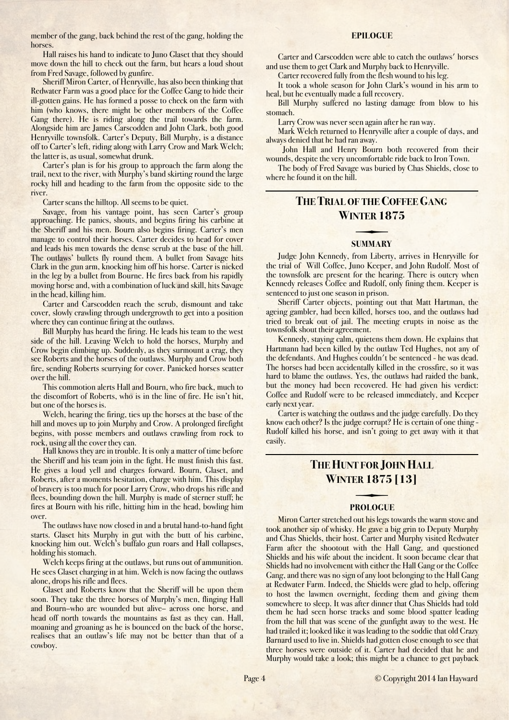member of the gang, back behind the rest of the gang, holding the horses.

Hall raises his hand to indicate to Juno Glaset that they should move down the hill to check out the farm, but hears a loud shout from Fred Savage, followed by gunfire.

Sheriff Miron Carter, of Henryville, has also been thinking that Redwater Farm was a good place for the Coffee Gang to hide their ill-gotten gains. He has formed a posse to check on the farm with him (who knows, there might be other members of the Coffee Gang there). He is riding along the trail towards the farm. Alongside him are James Carscodden and John Clark, both good Henryville townsfolk. Carter's Deputy, Bill Murphy, is a distance off to Carter's left, riding along with Larry Crow and Mark Welch; the latter is, as usual, somewhat drunk.

Carter's plan is for his group to approach the farm along the trail, next to the river, with Murphy's band skirting round the large rocky hill and heading to the farm from the opposite side to the river.

Carter scans the hilltop. All seems to be quiet.

Savage, from his vantage point, has seen Carter's group approaching. He panics, shouts, and begins firing his carbine at the Sheriff and his men. Bourn also begins firing. Carter's men manage to control their horses. Carter decides to head for cover and leads his men towards the dense scrub at the base of the hill. The outlaws' bullets fly round them. A bullet from Savage hits Clark in the gun arm, knocking him off his horse. Carter is nicked in the leg by a bullet from Bourne. He fires back from his rapidly moving horse and, with a combination of luck and skill, hits Savage in the head, killing him.

Carter and Carscodden reach the scrub, dismount and take cover, slowly crawling through undergrowth to get into a position where they can continue firing at the outlaws.

Bill Murphy has heard the firing. He leads his team to the west side of the hill. Leaving Welch to hold the horses, Murphy and Crow begin climbing up. Suddenly, as they surmount a crag, they see Roberts and the horses of the outlaws. Murphy and Crow both fire, sending Roberts scurrying for cover. Panicked horses scatter over the hill.

This commotion alerts Hall and Bourn, who fire back, much to the discomfort of Roberts, who is in the line of fire. He isn't hit, but one of the horses is.

Welch, hearing the firing, ties up the horses at the base of the hill and moves up to join Murphy and Crow. A prolonged firefight begins, with posse members and outlaws crawling from rock to rock, using all the cover they can.

Hall knows they are in trouble. It is only a matter of time before the Sheriff and his team join in the fight. He must finish this fast. He gives a loud yell and charges forward. Bourn, Glaset, and Roberts, after a moments hesitation, charge with him. This display of bravery is too much for poor Larry Crow, who drops his rifle and flees, bounding down the hill. Murphy is made of sterner stuff; he fires at Bourn with his rifle, hitting him in the head, bowling him over.

The outlaws have now closed in and a brutal hand-to-hand fight starts. Glaset hits Murphy in gut with the butt of his carbine, knocking him out. Welch's buffalo gun roars and Hall collapses, holding his stomach.

Welch keeps firing at the outlaws, but runs out of ammunition. He sees Glaset charging in at him. Welch is now facing the outlaws alone, drops his rifle and flees.

Glaset and Roberts know that the Sheriff will be upon them soon. They take the three horses of Murphy's men, flinging Hall and Bourn–who are wounded but alive– across one horse, and head off north towards the mountains as fast as they can. Hall, moaning and groaning as he is bounced on the back of the horse, realises that an outlaw's life may not be better than that of a cowboy.

#### **EPILOGUE**

Carter and Carscodden were able to catch the outlaws' horses and use them to get Clark and Murphy back to Henryville.

Carter recovered fully from the flesh wound to his leg.

It took a whole season for John Clark's wound in his arm to heal, but he eventually made a full recovery.

Bill Murphy suffered no lasting damage from blow to his stomach.

Larry Crow was never seen again after he ran way.

Mark Welch returned to Henryville after a couple of days, and always denied that he had ran away.

John Hall and Henry Bourn both recovered from their wounds, despite the very uncomfortable ride back to Iron Town.

The body of Fred Savage was buried by Chas Shields, close to where he found it on the hill.

### <span id="page-3-0"></span>**THE TRIAL OF THE COFFEE GANG WINTER 1875**

## **SUMMARY**

Judge John Kennedy, from Liberty, arrives in Henryville for the trial of Will Coffee, Juno Keeper, and John Rudolf. Most of the townsfolk are present for the hearing. There is outcry when Kennedy releases Coffee and Rudolf, only fining them. Keeper is sentenced to just one season in prison.

Sheriff Carter objects, pointing out that Matt Hartman, the ageing gambler, had been killed, horses too, and the outlaws had tried to break out of jail. The meeting erupts in noise as the townsfolk shout their agreement.

Kennedy, staying calm, quietens them down. He explains that Hartmann had been killed by the outlaw Ted Hughes, not any of the defendants. And Hughes couldn't be sentenced - he was dead. The horses had been accidentally killed in the crossfire, so it was hard to blame the outlaws. Yes, the outlaws had raided the bank, but the money had been recovered. He had given his verdict: Coffee and Rudolf were to be released immediately, and Keeper early next year.

Carter is watching the outlaws and the judge carefully. Do they know each other? Is the judge corrupt? He is certain of one thing - Rudolf killed his horse, and isn't going to get away with it that easily.

## <span id="page-3-1"></span>**THE HUNT FOR JOHN HALL WINTER 1875 [13]**

## **PROLOGUE**

Miron Carter stretched out his legs towards the warm stove and took another sip of whisky. He gave a big grin to Deputy Murphy and Chas Shields, their host. Carter and Murphy visited Redwater Farm after the shootout with the Hall Gang, and questioned Shields and his wife about the incident. It soon became clear that Shields had no involvement with either the Hall Gang or the Coffee Gang, and there was no sign of any loot belonging to the Hall Gang at Redwater Farm. Indeed, the Shields were glad to help, offering to host the lawmen overnight, feeding them and giving them somewhere to sleep. It was after dinner that Chas Shields had told them he had seen horse tracks and some blood spatter leading from the hill that was scene of the gunfight away to the west. He had trailed it; looked like it was leading to the soddie that old Crazy Barnard used to live in. Shields had gotten close enough to see that three horses were outside of it. Carter had decided that he and Murphy would take a look; this might be a chance to get payback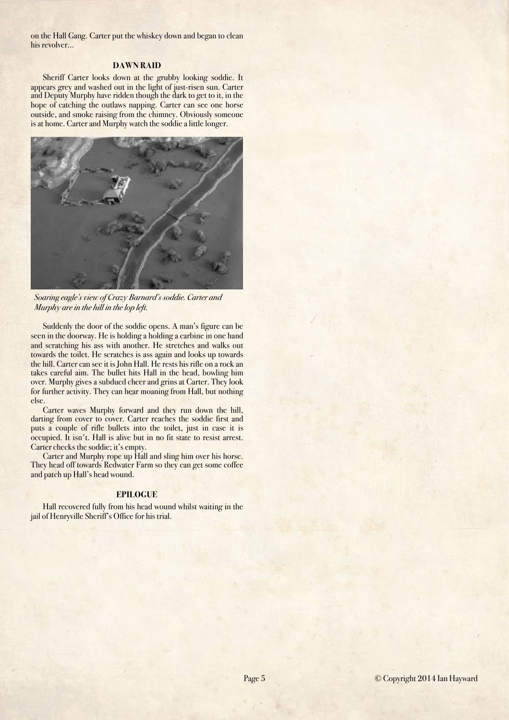on the Hall Gang. Carter put the whiskey down and began to clean his revolver…

#### **DAWN RAID**

Sheriff Carter looks down at the grubby looking soddie. It appears grey and washed out in the light of just-risen sun. Carter and Deputy Murphy have ridden though the dark to get to it, in the hope of catching the outlaws napping. Carter can see one horse outside, and smoke raising from the chimney. Obviously someone is at home. Carter and Murphy watch the soddie a little longer.



*Soaring eagle's view of Crazy Barnard's soddie. Carter and Murphy are in the hill in the lop left.*

Suddenly the door of the soddie opens. A man's figure can be seen in the doorway. He is holding a holding a carbine in one hand and scratching his ass with another. He stretches and walks out towards the toilet. He scratches is ass again and looks up towards the hill. Carter can see it is John Hall. He rests his rifle on a rock an takes careful aim. The bullet hits Hall in the head, bowling him over. Murphy gives a subdued cheer and grins at Carter. They look for further activity. They can hear moaning from Hall, but nothing else.

Carter waves Murphy forward and they run down the hill, darting from cover to cover. Carter reaches the soddie first and puts a couple of rifle bullets into the toilet, just in case it is occupied. It isn't. Hall is alive but in no fit state to resist arrest. Carter checks the soddie; it's empty.

Carter and Murphy rope up Hall and sling him over his horse. They head off towards Redwater Farm so they can get some coffee and patch up Hall's head wound.

#### **EPILOGUE**

Hall recovered fully from his head wound whilst waiting in the jail of Henryville Sheriff's Office for his trial.